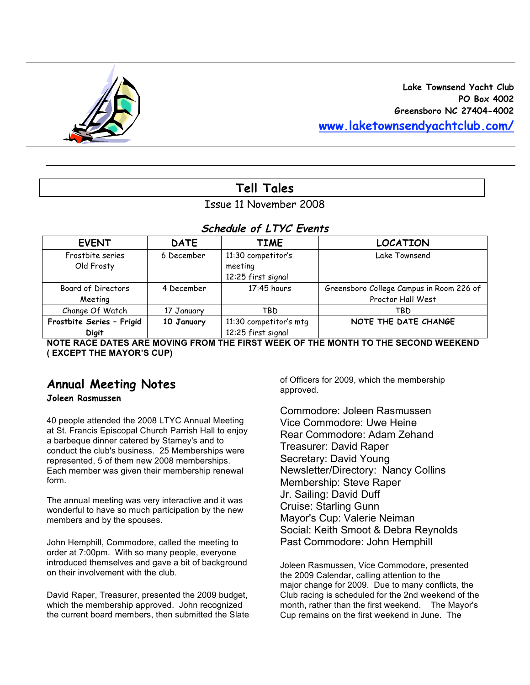

# **Tell Tales**

#### Issue 11 November 2008

#### **Schedule of LTYC Events**

| <b>EVENT</b>                              | <b>DATE</b> | <b>TIME</b>                                         | <b>LOCATION</b>                                               |
|-------------------------------------------|-------------|-----------------------------------------------------|---------------------------------------------------------------|
| Frostbite series<br>Old Frosty            | 6 December  | 11:30 competitor's<br>meeting<br>12:25 first signal | Lake Townsend                                                 |
| Board of Directors<br>Meeting             | 4 December  | $17:45$ hours                                       | Greensboro College Campus in Room 226 of<br>Proctor Hall West |
| Change Of Watch                           | 17 January  | TBD                                                 | TBD                                                           |
| Frostbite Series - Frigid<br><b>Digit</b> | 10 January  | 11:30 competitor's mtg<br>12:25 first signal        | NOTE THE DATE CHANGE                                          |

**NOTE RACE DATES ARE MOVING FROM THE FIRST WEEK OF THE MONTH TO THE SECOND WEEKEND ( EXCEPT THE MAYOR'S CUP)**

# **Annual Meeting Notes**

#### **Joleen Rasmussen**

40 people attended the 2008 LTYC Annual Meeting at St. Francis Episcopal Church Parrish Hall to enjoy a barbeque dinner catered by Stamey's and to conduct the club's business. 25 Memberships were represented, 5 of them new 2008 memberships. Each member was given their membership renewal form.

The annual meeting was very interactive and it was wonderful to have so much participation by the new members and by the spouses.

John Hemphill, Commodore, called the meeting to order at 7:00pm. With so many people, everyone introduced themselves and gave a bit of background on their involvement with the club.

David Raper, Treasurer, presented the 2009 budget, which the membership approved. John recognized the current board members, then submitted the Slate of Officers for 2009, which the membership approved.

Commodore: Joleen Rasmussen Vice Commodore: Uwe Heine Rear Commodore: Adam Zehand Treasurer: David Raper Secretary: David Young Newsletter/Directory: Nancy Collins Membership: Steve Raper Jr. Sailing: David Duff Cruise: Starling Gunn Mayor's Cup: Valerie Neiman Social: Keith Smoot & Debra Reynolds Past Commodore: John Hemphill

Joleen Rasmussen, Vice Commodore, presented the 2009 Calendar, calling attention to the major change for 2009. Due to many conflicts, the Club racing is scheduled for the 2nd weekend of the month, rather than the first weekend. The Mayor's Cup remains on the first weekend in June. The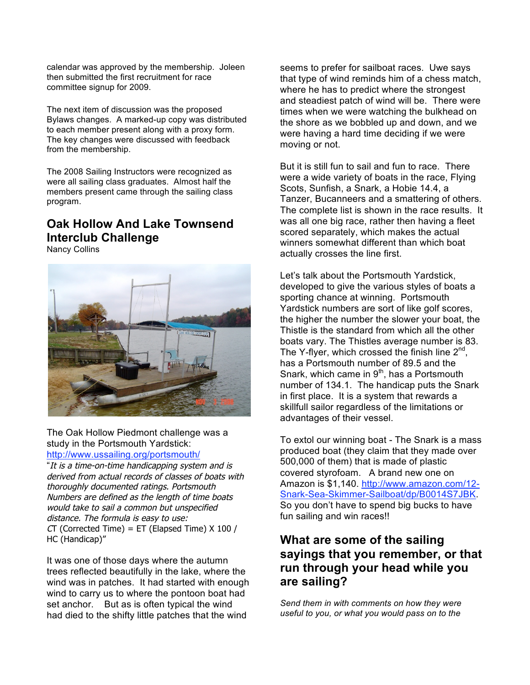calendar was approved by the membership. Joleen then submitted the first recruitment for race committee signup for 2009.

The next item of discussion was the proposed Bylaws changes. A marked-up copy was distributed to each member present along with a proxy form. The key changes were discussed with feedback from the membership.

The 2008 Sailing Instructors were recognized as were all sailing class graduates. Almost half the members present came through the sailing class program.

# **Oak Hollow And Lake Townsend Interclub Challenge**

Nancy Collins



The Oak Hollow Piedmont challenge was a study in the Portsmouth Yardstick: http://www.ussailing.org/portsmouth/

"It is a time-on-time handicapping system and is derived from actual records of classes of boats with thoroughly documented ratings. Portsmouth Numbers are defined as the length of time boats would take to sail a common but unspecified distance. The formula is easy to use:  $CT$  (Corrected Time) = ET (Elapsed Time) X 100 / HC (Handicap)"

It was one of those days where the autumn trees reflected beautifully in the lake, where the wind was in patches. It had started with enough wind to carry us to where the pontoon boat had set anchor. But as is often typical the wind had died to the shifty little patches that the wind

seems to prefer for sailboat races. Uwe says that type of wind reminds him of a chess match, where he has to predict where the strongest and steadiest patch of wind will be. There were times when we were watching the bulkhead on the shore as we bobbled up and down, and we were having a hard time deciding if we were moving or not.

But it is still fun to sail and fun to race. There were a wide variety of boats in the race, Flying Scots, Sunfish, a Snark, a Hobie 14.4, a Tanzer, Bucanneers and a smattering of others. The complete list is shown in the race results. It was all one big race, rather then having a fleet scored separately, which makes the actual winners somewhat different than which boat actually crosses the line first.

Let's talk about the Portsmouth Yardstick, developed to give the various styles of boats a sporting chance at winning. Portsmouth Yardstick numbers are sort of like golf scores, the higher the number the slower your boat, the Thistle is the standard from which all the other boats vary. The Thistles average number is 83. The Y-flyer, which crossed the finish line  $2^{nd}$ , has a Portsmouth number of 89.5 and the Snark, which came in  $9<sup>th</sup>$ , has a Portsmouth number of 134.1. The handicap puts the Snark in first place. It is a system that rewards a skillfull sailor regardless of the limitations or advantages of their vessel.

To extol our winning boat - The Snark is a mass produced boat (they claim that they made over 500,000 of them) that is made of plastic covered styrofoam. A brand new one on Amazon is \$1,140. http://www.amazon.com/12- Snark-Sea-Skimmer-Sailboat/dp/B0014S7JBK. So you don't have to spend big bucks to have fun sailing and win races!!

### **What are some of the sailing sayings that you remember, or that run through your head while you are sailing?**

*Send them in with comments on how they were useful to you, or what you would pass on to the*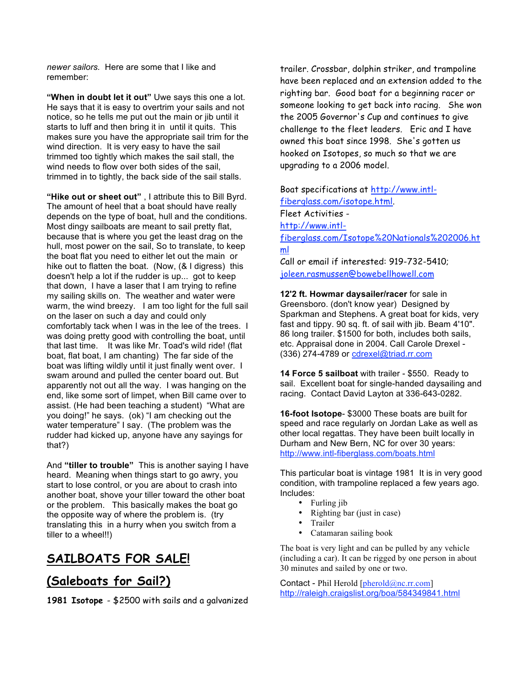*newer sailors.* Here are some that I like and remember:

**"When in doubt let it out"** Uwe says this one a lot. He says that it is easy to overtrim your sails and not notice, so he tells me put out the main or jib until it starts to luff and then bring it in until it quits. This makes sure you have the appropriate sail trim for the wind direction. It is very easy to have the sail trimmed too tightly which makes the sail stall, the wind needs to flow over both sides of the sail, trimmed in to tightly, the back side of the sail stalls.

**"Hike out or sheet out"** , I attribute this to Bill Byrd. The amount of heel that a boat should have really depends on the type of boat, hull and the conditions. Most dingy sailboats are meant to sail pretty flat, because that is where you get the least drag on the hull, most power on the sail, So to translate, to keep the boat flat you need to either let out the main or hike out to flatten the boat. (Now, (& I digress) this doesn't help a lot if the rudder is up... got to keep that down, I have a laser that I am trying to refine my sailing skills on. The weather and water were warm, the wind breezy. I am too light for the full sail on the laser on such a day and could only comfortably tack when I was in the lee of the trees. I was doing pretty good with controlling the boat, until that last time. It was like Mr. Toad's wild ride! (flat boat, flat boat, I am chanting) The far side of the boat was lifting wildly until it just finally went over. I swam around and pulled the center board out. But apparently not out all the way. I was hanging on the end, like some sort of limpet, when Bill came over to assist. (He had been teaching a student) "What are you doing!" he says. (ok) "I am checking out the water temperature" I say. (The problem was the rudder had kicked up, anyone have any sayings for that?)

And **"tiller to trouble"** This is another saying I have heard. Meaning when things start to go awry, you start to lose control, or you are about to crash into another boat, shove your tiller toward the other boat or the problem. This basically makes the boat go the opposite way of where the problem is. (try translating this in a hurry when you switch from a tiller to a wheel!!)

# **SAILBOATS FOR SALE!**

### **(Saleboats for Sail?)**

**1981 Isotope** - \$2500 with sails and a galvanized

trailer. Crossbar, dolphin striker, and trampoline have been replaced and an extension added to the righting bar. Good boat for a beginning racer or someone looking to get back into racing. She won the 2005 Governor's Cup and continues to give challenge to the fleet leaders. Eric and I have owned this boat since 1998. She's gotten us hooked on Isotopes, so much so that we are upgrading to a 2006 model.

Boat specifications at http://www.intlfiberglass.com/isotope.html. Fleet Activities http://www.intlfiberglass.com/Isotope%20Nationals%202006.ht ml Call or email if interested: 919-732-5410; joleen.rasmussen@bowebellhowell.com

**12'2 ft. Howmar daysailer/racer** for sale in Greensboro. (don't know year) Designed by Sparkman and Stephens. A great boat for kids, very fast and tippy. 90 sq. ft. of sail with jib. Beam 4'10". 86 long trailer. \$1500 for both, includes both sails, etc. Appraisal done in 2004. Call Carole Drexel - (336) 274-4789 or cdrexel@triad.rr.com

**14 Force 5 sailboat** with trailer - \$550. Ready to sail. Excellent boat for single-handed daysailing and racing. Contact David Layton at 336-643-0282.

**16-foot Isotope**- \$3000 These boats are built for speed and race regularly on Jordan Lake as well as other local regattas. They have been built locally in Durham and New Bern, NC for over 30 years: http://www.intl-fiberglass.com/boats.html

This particular boat is vintage 1981 It is in very good condition, with trampoline replaced a few years ago. Includes:

- Furling jib
- Righting bar (just in case)
- Trailer
- Catamaran sailing book

The boat is very light and can be pulled by any vehicle (including a car). It can be rigged by one person in about 30 minutes and sailed by one or two.

Contact - Phil Herold [pherold@nc.rr.com] http://raleigh.craigslist.org/boa/584349841.html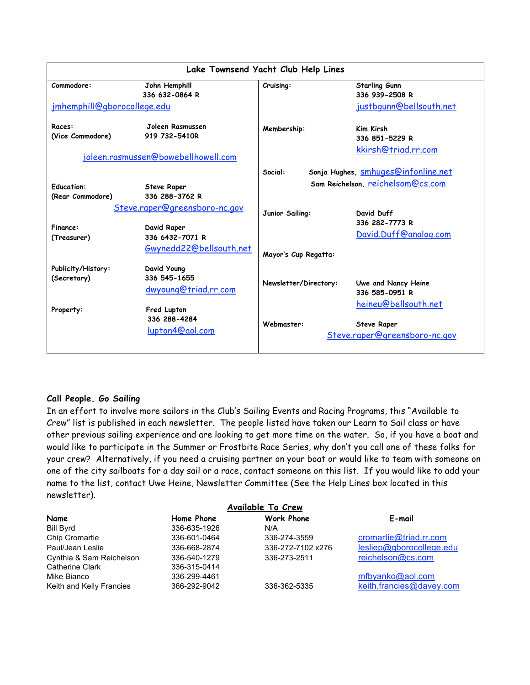| Lake Townsend Yacht Club Help Lines       |                                                                                            |                                                                                     |                                                                             |  |  |
|-------------------------------------------|--------------------------------------------------------------------------------------------|-------------------------------------------------------------------------------------|-----------------------------------------------------------------------------|--|--|
| Commodore:<br>jmhemphill@gborocollege.edu | John Hemphill<br>336 632-0864 R                                                            | Cruising:                                                                           | <b>Starling Gunn</b><br>336 939-2508 R<br>justbgunn@bellsouth.net           |  |  |
| Races:<br>(Vice Commodore)                | Joleen Rasmussen<br>919 732-5410R<br>joleen.rasmussen@bowebellhowell.com                   | Membership:                                                                         | Kim Kirsh<br>336 851-5229 R<br>kkirsh@triad.rr.com                          |  |  |
| <b>Education:</b><br>(Rear Commodore)     | <b>Steve Raper</b><br>336 288-3762 R                                                       | Sonja Hughes, smhuges@infonline.net<br>Social:<br>Sam Reichelson, reichelsom@cs.com |                                                                             |  |  |
| Finance:<br>(Treasurer)                   | Steve.raper@greensboro-nc.gov<br>David Raper<br>336 6432-7071 R<br>Gwynedd22@bellsouth.net | Junior Sailing:<br>Mayor's Cup Regatta:                                             | David Duff<br>336 282-7773 R<br>David.Duff@analog.com                       |  |  |
| Publicity/History:<br>(Secretary)         | David Young<br>336 545-1655<br>dwyoung@triad.rr.com                                        | Newsletter/Directory:                                                               | Uwe and Nancy Heine<br>336 585-0951 R                                       |  |  |
| Property:                                 | Fred Lupton<br>336 288-4284<br>lupton4@aol.com                                             | Webmaster:                                                                          | heineu@bellsouth.net<br><b>Steve Raper</b><br>Steve.raper@greensboro-nc.gov |  |  |

#### **Call People. Go Sailing**

In an effort to involve more sailors in the Club's Sailing Events and Racing Programs, this "Available to Crew" list is published in each newsletter. The people listed have taken our Learn to Sail class or have other previous sailing experience and are looking to get more time on the water. So, if you have a boat and would like to participate in the Summer or Frostbite Race Series, why don't you call one of these folks for your crew? Alternatively, if you need a cruising partner on your boat or would like to team with someone on one of the city sailboats for a day sail or a race, contact someone on this list. If you would like to add your name to the list, contact Uwe Heine, Newsletter Committee (See the Help Lines box located in this newsletter).

| Available To Crew        |              |                   |                          |  |  |  |
|--------------------------|--------------|-------------------|--------------------------|--|--|--|
| Name                     | Home Phone   | Work Phone        | E-mail                   |  |  |  |
| Bill Byrd                | 336-635-1926 | N/A               |                          |  |  |  |
| Chip Cromartie           | 336-601-0464 | 336-274-3559      | cromartie@triad.rr.com   |  |  |  |
| Paul/Jean Leslie         | 336-668-2874 | 336-272-7102 x276 | lesliep@gborocollege.edu |  |  |  |
| Cynthia & Sam Reichelson | 336-540-1279 | 336-273-2511      | reichelson@cs.com        |  |  |  |
| <b>Catherine Clark</b>   | 336-315-0414 |                   |                          |  |  |  |
| Mike Bianco              | 336-299-4461 |                   | mfbyanko@aol.com         |  |  |  |
| Keith and Kelly Francies | 366-292-9042 | 336-362-5335      | keith.francies@davey.com |  |  |  |